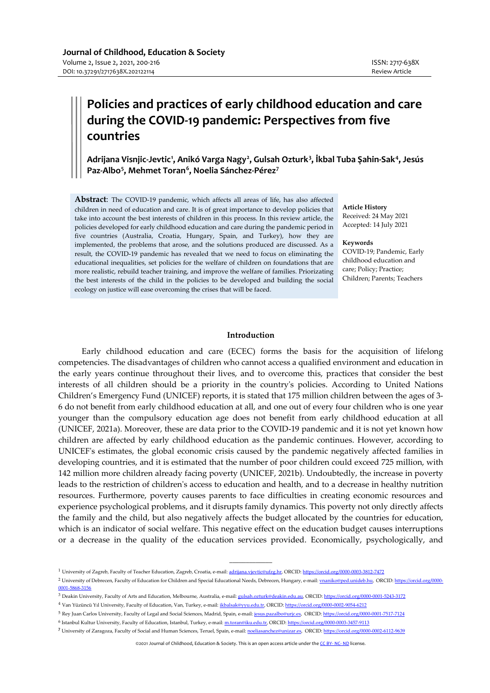# **Policies and practices of early childhood education and care during the COVID-19 pandemic: Perspectives from five countries**

**Adrijana Visnjic-Jevtic[1](#page-0-0) , Anikó Varga Nagy[2](#page-0-1) , Gulsah Ozturk[3](#page-0-2) , İkbal Tuba Şahin-Sak[4](#page-0-3) , Jesús Paz-Albo[5](#page-0-4) , Mehmet Toran[6](#page-0-5) , Noelia Sánchez-Pérez[7](#page-0-6)**

**Abstract**: The COVID-19 pandemic, which affects all areas of life, has also affected children in need of education and care. It is of great importance to develop policies that take into account the best interests of children in this process. In this review article, the policies developed for early childhood education and care during the pandemic period in five countries (Australia, Croatia, Hungary, Spain, and Turkey), how they are implemented, the problems that arose, and the solutions produced are discussed. As a result, the COVID-19 pandemic has revealed that we need to focus on eliminating the educational inequalities, set policies for the welfare of children on foundations that are more realistic, rebuild teacher training, and improve the welfare of families. Priorizating the best interests of the child in the policies to be developed and building the social ecology on justice will ease overcoming the crises that will be faced.

**Article History** Received: 24 May 2021 Accepted: 14 July 2021

#### **Keywords**

COVID-19; Pandemic, Early childhood education and care; Policy; Practice; Children; Parents; Teachers

# **Introduction**

Early childhood education and care (ECEC) forms the basis for the acquisition of lifelong competencies. The disadvantages of children who cannot access a qualified environment and education in the early years continue throughout their lives, and to overcome this, practices that consider the best interests of all children should be a priority in the country's policies. According to United Nations Children's Emergency Fund (UNICEF) reports, it is stated that 175 million children between the ages of 3- 6 do not benefit from early childhood education at all, and one out of every four children who is one year younger than the compulsory education age does not benefit from early childhood education at all (UNICEF, 2021a). Moreover, these are data prior to the COVID-19 pandemic and it is not yet known how children are affected by early childhood education as the pandemic continues. However, according to UNICEF's estimates, the global economic crisis caused by the pandemic negatively affected families in developing countries, and it is estimated that the number of poor children could exceed 725 million, with 142 million more children already facing poverty (UNICEF, 2021b). Undoubtedly, the increase in poverty leads to the restriction of children's access to education and health, and to a decrease in healthy nutrition resources. Furthermore, poverty causes parents to face difficulties in creating economic resources and experience psychological problems, and it disrupts family dynamics. This poverty not only directly affects the family and the child, but also negatively affects the budget allocated by the countries for education, which is an indicator of social welfare. This negative effect on the education budget causes interruptions or a decrease in the quality of the education services provided. Economically, psychologically, and

 $\overline{\phantom{a}}$ 

<span id="page-0-0"></span><sup>1</sup> University of Zagreb, Faculty of Teacher Education, Zagreb, Croatia, e-mail[: adrijana.vjevtic@ufzg.hr,](mailto:adrijana.vjevtic@ufzg.hr) ORCID[: https://orcid.org/0000-0003-3812-7472](https://orcid.org/0000-0003-3812-7472)

<span id="page-0-1"></span><sup>&</sup>lt;sup>2</sup> University of Debrecen, Faculty of Education for Children and Special Educational Needs, Debrecen, Hungary, e-mail: **vnaniko@ped.unideb.hu,** ORCID[: https://orcid.org/0000-](https://orcid.org/0000-0001-5868-3156) [0001-5868-3156](https://orcid.org/0000-0001-5868-3156)

<span id="page-0-2"></span><sup>3</sup> Deakin University, Faculty of Arts and Education, Melbourne, Australia, e-mail[: gulsah.ozturk@deakin.edu.au,](mailto:gulsah.ozturk@deakin.edu.au) ORCID: <https://orcid.org/0000-0001-5243-3172>

<span id="page-0-3"></span><sup>4</sup> Van Yüzüncü Yıl University, Faculty of Education, Van, Turkey, e-mail[: ikbalsak@yyu.edu.tr,](mailto:ikbalsak@yyu.edu.tr) ORCID[: https://orcid.org/0000-0002-9054-6212](https://orcid.org/0000-0002-9054-6212)

<span id="page-0-5"></span><span id="page-0-4"></span><sup>&</sup>lt;sup>5</sup> Rey Juan Carlos University, Faculty of Legal and Social Sciences, Madrid, Spain, e-mail[: jesus.pazalbo@urjc.es,](mailto:jesus.pazalbo@urjc.es) ORCID[: https://orcid.org/0000-0001-7517-7124](https://orcid.org/0000-0001-7517-7124)

<sup>6</sup> Istanbul Kultur University, Faculty of Education, Istanbul, Turkey, e-mail[: m.toran@iku.edu.tr,](mailto:m.toran@iku.edu.tr) ORCID[: https://orcid.org/0000-0003-3457-9113](https://orcid.org/0000-0003-3457-9113)

<span id="page-0-6"></span>**<sup>7</sup>** University of Zaragoza, Faculty of Social and Human Sciences, Teruel, Spain, e-mail: [noeliasanchez@unizar.es,](mailto:noeliasanchez@unizar.es) ORCID: <https://orcid.org/0000-0002-6112-9639>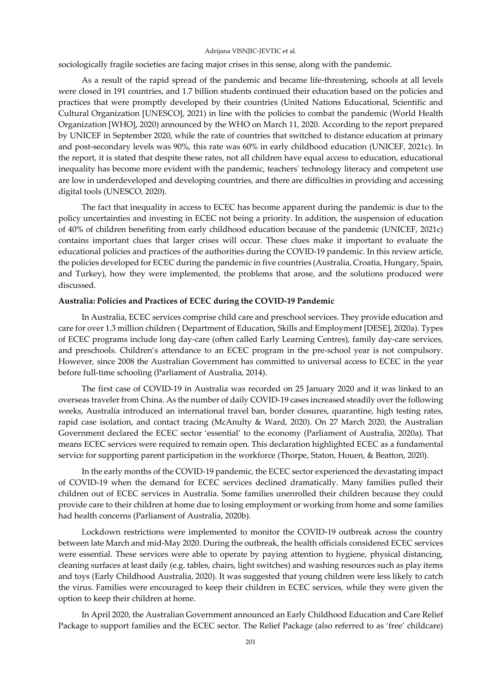sociologically fragile societies are facing major crises in this sense, along with the pandemic.

As a result of the rapid spread of the pandemic and became life-threatening, schools at all levels were closed in 191 countries, and 1.7 billion students continued their education based on the policies and practices that were promptly developed by their countries (United Nations Educational, Scientific and Cultural Organization [UNESCO], 2021) in line with the policies to combat the pandemic (World Health Organization [WHO], 2020) announced by the WHO on March 11, 2020. According to the report prepared by UNICEF in September 2020, while the rate of countries that switched to distance education at primary and post-secondary levels was 90%, this rate was 60% in early childhood education (UNICEF, 2021c). In the report, it is stated that despite these rates, not all children have equal access to education, educational inequality has become more evident with the pandemic, teachers' technology literacy and competent use are low in underdeveloped and developing countries, and there are difficulties in providing and accessing digital tools (UNESCO, 2020).

The fact that inequality in access to ECEC has become apparent during the pandemic is due to the policy uncertainties and investing in ECEC not being a priority. In addition, the suspension of education of 40% of children benefiting from early childhood education because of the pandemic (UNICEF, 2021c) contains important clues that larger crises will occur. These clues make it important to evaluate the educational policies and practices of the authorities during the COVID-19 pandemic. In this review article, the policies developed for ECEC during the pandemic in five countries (Australia, Croatia, Hungary, Spain, and Turkey), how they were implemented, the problems that arose, and the solutions produced were discussed.

# **Australia: Policies and Practices of ECEC during the COVID-19 Pandemic**

In Australia, ECEC services comprise child care and preschool services. They provide education and care for over 1.3 million children ( Department of Education, Skills and Employment [DESE], 2020a). Types of ECEC programs include long day-care (often called Early Learning Centres), family day-care services, and preschools. Children's attendance to an ECEC program in the pre-school year is not compulsory. However, since 2008 the Australian Government has committed to universal access to ECEC in the year before full-time schooling (Parliament of Australia, 2014).

The first case of COVID-19 in Australia was recorded on 25 January 2020 and it was linked to an overseas traveler from China. As the number of daily COVID-19 cases increased steadily over the following weeks, Australia introduced an international travel ban, border closures, quarantine, high testing rates, rapid case isolation, and contact tracing (McAnulty & Ward, 2020). On 27 March 2020, the Australian Government declared the ECEC sector 'essential' to the economy (Parliament of Australia, 2020a). That means ECEC services were required to remain open. This declaration highlighted ECEC as a fundamental service for supporting parent participation in the workforce (Thorpe, Staton, Houen, & Beatton, 2020).

In the early months of the COVID-19 pandemic, the ECEC sector experienced the devastating impact of COVID-19 when the demand for ECEC services declined dramatically. Many families pulled their children out of ECEC services in Australia. Some families unenrolled their children because they could provide care to their children at home due to losing employment or working from home and some families had health concerns (Parliament of Australia, 2020b).

Lockdown restrictions were implemented to monitor the COVID-19 outbreak across the country between late March and mid-May 2020. During the outbreak, the health officials considered ECEC services were essential. These services were able to operate by paying attention to hygiene, physical distancing, cleaning surfaces at least daily (e.g. tables, chairs, light switches) and washing resources such as play items and toys (Early Childhood Australia, 2020). It was suggested that young children were less likely to catch the virus. Families were encouraged to keep their children in ECEC services, while they were given the option to keep their children at home.

In April 2020, the Australian Government announced an Early Childhood Education and Care Relief Package to support families and the ECEC sector. The Relief Package (also referred to as 'free' childcare)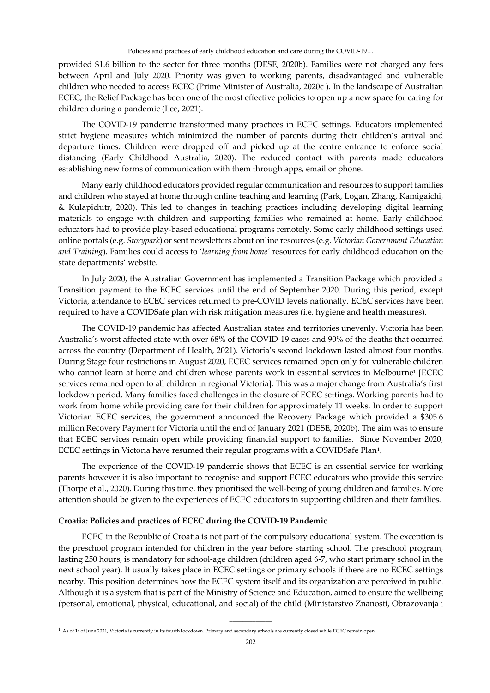provided \$1.6 billion to the sector for three months (DESE, 2020b). Families were not charged any fees between April and July 2020. Priority was given to working parents, disadvantaged and vulnerable children who needed to access ECEC (Prime Minister of Australia, 2020c ). In the landscape of Australian ECEC, the Relief Package has been one of the most effective policies to open up a new space for caring for children during a pandemic (Lee, 2021).

The COVID-19 pandemic transformed many practices in ECEC settings. Educators implemented strict hygiene measures which minimized the number of parents during their children's arrival and departure times. Children were dropped off and picked up at the centre entrance to enforce social distancing (Early Childhood Australia, 2020). The reduced contact with parents made educators establishing new forms of communication with them through apps, email or phone.

Many early childhood educators provided regular communication and resources to support families and children who stayed at home through online teaching and learning (Park, Logan, Zhang, Kamigaichi, & Kulapichitr, 2020). This led to changes in teaching practices including developing digital learning materials to engage with children and supporting families who remained at home. Early childhood educators had to provide play-based educational programs remotely. Some early childhood settings used online portals (e.g. *Storypark*) or sent newsletters about online resources (e.g. *Victorian Government Education and Training*). Families could access to '*learning from home'* resources for early childhood education on the state departments' website.

In July 2020, the Australian Government has implemented a Transition Package which provided a Transition payment to the ECEC services until the end of September 2020. During this period, except Victoria, attendance to ECEC services returned to pre-COVID levels nationally. ECEC services have been required to have a COVIDSafe plan with risk mitigation measures (i.e. hygiene and health measures).

The COVID-19 pandemic has affected Australian states and territories unevenly. Victoria has been Australia's worst affected state with over 68% of the COVID-19 cases and 90% of the deaths that occurred across the country (Department of Health, 2021). Victoria's second lockdown lasted almost four months. During Stage four restrictions in August 2020, ECEC services remained open only for vulnerable children who cannot learn at home and children whose parents work in essential services in Melbourne<sup>1</sup> [ECEC services remained open to all children in regional Victoria]. This was a major change from Australia's first lockdown period. Many families faced challenges in the closure of ECEC settings. Working parents had to work from home while providing care for their children for approximately 11 weeks. In order to support Victorian ECEC services, the government announced the Recovery Package which provided a \$305.6 million Recovery Payment for Victoria until the end of January 2021 (DESE, 2020b). The aim was to ensure that ECEC services remain open while providing financial support to families. Since November 2020, ECEC settings in Victoria have resumed their regular programs with a COVIDSafe Pla[n1](#page-2-0).

The experience of the COVID-19 pandemic shows that ECEC is an essential service for working parents however it is also important to recognise and support ECEC educators who provide this service (Thorpe et al., 2020). During this time, they prioritised the well-being of young children and families. More attention should be given to the experiences of ECEC educators in supporting children and their families.

# **Croatia: Policies and practices of ECEC during the COVID-19 Pandemic**

ECEC in the Republic of Croatia is not part of the compulsory educational system. The exception is the preschool program intended for children in the year before starting school. The preschool program, lasting 250 hours, is mandatory for school-age children (children aged 6-7, who start primary school in the next school year). It usually takes place in ECEC settings or primary schools if there are no ECEC settings nearby. This position determines how the ECEC system itself and its organization are perceived in public. Although it is a system that is part of the Ministry of Science and Education, aimed to ensure the wellbeing (personal, emotional, physical, educational, and social) of the child (Ministarstvo Znanosti, Obrazovanja i

\_\_\_\_\_\_\_\_\_\_\_\_\_

<span id="page-2-0"></span><sup>1</sup> As of 1<sup>st</sup> of June 2021, Victoria is currently in its fourth lockdown. Primary and secondary schools are currently closed while ECEC remain open.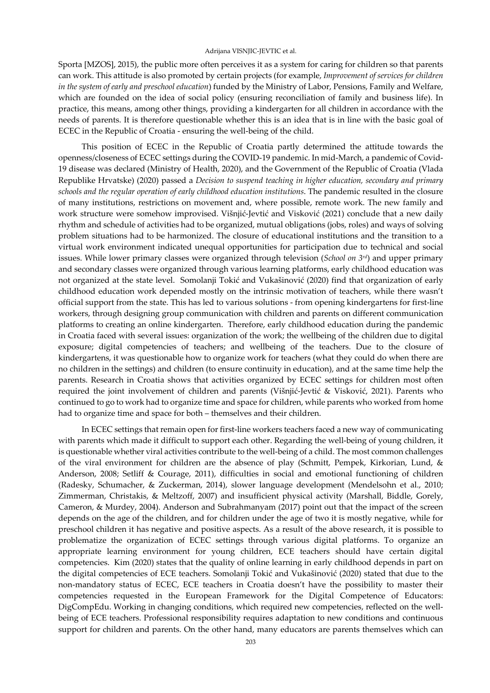Sporta [MZOS], 2015), the public more often perceives it as a system for caring for children so that parents can work. This attitude is also promoted by certain projects (for example, *Improvement of services for children in the system of early and preschool education*) funded by the Ministry of Labor, Pensions, Family and Welfare, which are founded on the idea of social policy (ensuring reconciliation of family and business life). In practice, this means, among other things, providing a kindergarten for all children in accordance with the needs of parents. It is therefore questionable whether this is an idea that is in line with the basic goal of ECEC in the Republic of Croatia - ensuring the well-being of the child.

This position of ECEC in the Republic of Croatia partly determined the attitude towards the openness/closeness of ECEC settings during the COVID-19 pandemic. In mid-March, a pandemic of Covid-19 disease was declared (Ministry of Health, 2020), and the Government of the Republic of Croatia (Vlada Republike Hrvatske) (2020) passed a *Decision to suspend teaching in higher education, secondary and primary schools and the regular operation of early childhood education institutions*. The pandemic resulted in the closure of many institutions, restrictions on movement and, where possible, remote work. The new family and work structure were somehow improvised. Višnjić-Jevtić and Visković (2021) conclude that a new daily rhythm and schedule of activities had to be organized, mutual obligations (jobs, roles) and ways of solving problem situations had to be harmonized. The closure of educational institutions and the transition to a virtual work environment indicated unequal opportunities for participation due to technical and social issues. While lower primary classes were organized through television (*School on 3rd*) and upper primary and secondary classes were organized through various learning platforms, early childhood education was not organized at the state level. Somolanji Tokić and Vukašinović (2020) find that organization of early childhood education work depended mostly on the intrinsic motivation of teachers, while there wasn't official support from the state. This has led to various solutions - from opening kindergartens for first-line workers, through designing group communication with children and parents on different communication platforms to creating an online kindergarten. Therefore, early childhood education during the pandemic in Croatia faced with several issues: organization of the work; the wellbeing of the children due to digital exposure; digital competencies of teachers; and wellbeing of the teachers. Due to the closure of kindergartens, it was questionable how to organize work for teachers (what they could do when there are no children in the settings) and children (to ensure continuity in education), and at the same time help the parents. Research in Croatia shows that activities organized by ECEC settings for children most often required the joint involvement of children and parents (Višnjić-Jevtić & Visković, 2021). Parents who continued to go to work had to organize time and space for children, while parents who worked from home had to organize time and space for both – themselves and their children.

In ECEC settings that remain open for first-line workers teachers faced a new way of communicating with parents which made it difficult to support each other. Regarding the well-being of young children, it is questionable whether viral activities contribute to the well-being of a child. The most common challenges of the viral environment for children are the absence of play (Schmitt, Pempek, Kirkorian, Lund, & Anderson, 2008; Setliff & Courage, 2011), difficulties in social and emotional functioning of children (Radesky, Schumacher, & Zuckerman, 2014), slower language development (Mendelsohn et al., 2010; Zimmerman, Christakis, & Meltzoff, 2007) and insufficient physical activity (Marshall, Biddle, Gorely, Cameron, & Murdey, 2004). Anderson and Subrahmanyam (2017) point out that the impact of the screen depends on the age of the children, and for children under the age of two it is mostly negative, while for preschool children it has negative and positive aspects. As a result of the above research, it is possible to problematize the organization of ECEC settings through various digital platforms. To organize an appropriate learning environment for young children, ECE teachers should have certain digital competencies. Kim (2020) states that the quality of online learning in early childhood depends in part on the digital competencies of ECE teachers. Somolanji Tokić and Vukašinović (2020) stated that due to the non-mandatory status of ECEC, ECE teachers in Croatia doesn't have the possibility to master their competencies requested in the European Framework for the Digital Competence of Educators: DigCompEdu. Working in changing conditions, which required new competencies, reflected on the wellbeing of ECE teachers. Professional responsibility requires adaptation to new conditions and continuous support for children and parents. On the other hand, many educators are parents themselves which can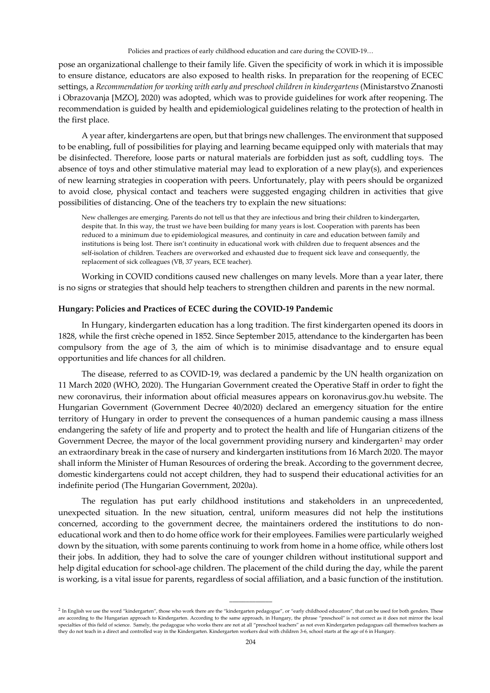pose an organizational challenge to their family life. Given the specificity of work in which it is impossible to ensure distance, educators are also exposed to health risks. In preparation for the reopening of ECEC settings, a *Recommendation for working with early and preschool children in kindergartens* (Ministarstvo Znanosti i Obrazovanja [MZO], 2020) was adopted, which was to provide guidelines for work after reopening. The recommendation is guided by health and epidemiological guidelines relating to the protection of health in the first place.

A year after, kindergartens are open, but that brings new challenges. The environment that supposed to be enabling, full of possibilities for playing and learning became equipped only with materials that may be disinfected. Therefore, loose parts or natural materials are forbidden just as soft, cuddling toys. The absence of toys and other stimulative material may lead to exploration of a new play(s), and experiences of new learning strategies in cooperation with peers. Unfortunately, play with peers should be organized to avoid close, physical contact and teachers were suggested engaging children in activities that give possibilities of distancing. One of the teachers try to explain the new situations:

New challenges are emerging. Parents do not tell us that they are infectious and bring their children to kindergarten, despite that. In this way, the trust we have been building for many years is lost. Cooperation with parents has been reduced to a minimum due to epidemiological measures, and continuity in care and education between family and institutions is being lost. There isn't continuity in educational work with children due to frequent absences and the self-isolation of children. Teachers are overworked and exhausted due to frequent sick leave and consequently, the replacement of sick colleagues (VB, 37 years, ECE teacher).

Working in COVID conditions caused new challenges on many levels. More than a year later, there is no signs or strategies that should help teachers to strengthen children and parents in the new normal.

# **Hungary: Policies and Practices of ECEC during the COVID-19 Pandemic**

In Hungary, kindergarten education has a long tradition. The first kindergarten opened its doors in 1828, while the first crèche opened in 1852. Since September 2015, attendance to the kindergarten has been compulsory from the age of 3, the aim of which is to minimise disadvantage and to ensure equal opportunities and life chances for all children.

The disease, referred to as COVID-19, was declared a pandemic by the UN health organization on 11 March 2020 (WHO, 2020). The Hungarian Government created the Operative Staff in order to fight the new coronavirus, their information about official measures appears on koronavirus.gov.hu website. The Hungarian Government (Government Decree 40/2020) declared an emergency situation for the entire territory of Hungary in order to prevent the consequences of a human pandemic causing a mass illness endangering the safety of life and property and to protect the health and life of Hungarian citizens of the Government Decree, the mayor of the local government providing nursery and kindergarten<sup>[2](#page-4-0)</sup> may order an extraordinary break in the case of nursery and kindergarten institutions from 16 March 2020. The mayor shall inform the Minister of Human Resources of ordering the break. According to the government decree, domestic kindergartens could not accept children, they had to suspend their educational activities for an indefinite period (The Hungarian Government, 2020a).

The regulation has put early childhood institutions and stakeholders in an unprecedented, unexpected situation. In the new situation, central, uniform measures did not help the institutions concerned, according to the government decree, the maintainers ordered the institutions to do noneducational work and then to do home office work for their employees. Families were particularly weighed down by the situation, with some parents continuing to work from home in a home office, while others lost their jobs. In addition, they had to solve the care of younger children without institutional support and help digital education for school-age children. The placement of the child during the day, while the parent is working, is a vital issue for parents, regardless of social affiliation, and a basic function of the institution.

 $\overline{\phantom{a}}$ 

<span id="page-4-0"></span><sup>&</sup>lt;sup>2</sup> In English we use the word "kindergarten", those who work there are the "kindergarten pedagogue", or "early childhood educators", that can be used for both genders. These are according to the Hungarian approach to Kindergarten. According to the same approach, in Hungary, the phrase "preschool" is not correct as it does not mirror the local specialties of this field of science. Samely, the pedagogue who works there are not at all "preschool teachers" as not even Kindergarten pedagogues call themselves teachers as they do not teach in a direct and controlled way in the Kindergarten. Kindergarten workers deal with children 3-6, school starts at the age of 6 in Hungary.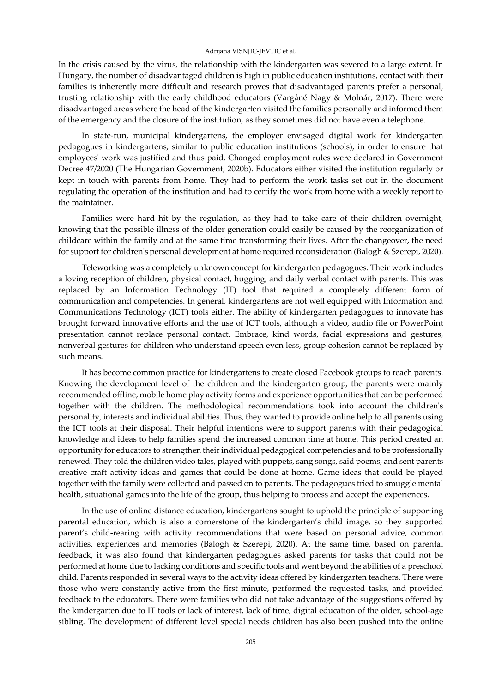In the crisis caused by the virus, the relationship with the kindergarten was severed to a large extent. In Hungary, the number of disadvantaged children is high in public education institutions, contact with their families is inherently more difficult and research proves that disadvantaged parents prefer a personal, trusting relationship with the early childhood educators (Vargáné Nagy & Molnár, 2017). There were disadvantaged areas where the head of the kindergarten visited the families personally and informed them of the emergency and the closure of the institution, as they sometimes did not have even a telephone.

In state-run, municipal kindergartens, the employer envisaged digital work for kindergarten pedagogues in kindergartens, similar to public education institutions (schools), in order to ensure that employees' work was justified and thus paid. Changed employment rules were declared in Government Decree 47/2020 (The Hungarian Government, 2020b). Educators either visited the institution regularly or kept in touch with parents from home. They had to perform the work tasks set out in the document regulating the operation of the institution and had to certify the work from home with a weekly report to the maintainer.

Families were hard hit by the regulation, as they had to take care of their children overnight, knowing that the possible illness of the older generation could easily be caused by the reorganization of childcare within the family and at the same time transforming their lives. After the changeover, the need for support for children's personal development at home required reconsideration (Balogh & Szerepi, 2020).

Teleworking was a completely unknown concept for kindergarten pedagogues. Their work includes a loving reception of children, physical contact, hugging, and daily verbal contact with parents. This was replaced by an Information Technology (IT) tool that required a completely different form of communication and competencies. In general, kindergartens are not well equipped with Information and Communications Technology (ICT) tools either. The ability of kindergarten pedagogues to innovate has brought forward innovative efforts and the use of ICT tools, although a video, audio file or PowerPoint presentation cannot replace personal contact. Embrace, kind words, facial expressions and gestures, nonverbal gestures for children who understand speech even less, group cohesion cannot be replaced by such means.

It has become common practice for kindergartens to create closed Facebook groups to reach parents. Knowing the development level of the children and the kindergarten group, the parents were mainly recommended offline, mobile home play activity forms and experience opportunities that can be performed together with the children. The methodological recommendations took into account the children's personality, interests and individual abilities. Thus, they wanted to provide online help to all parents using the ICT tools at their disposal. Their helpful intentions were to support parents with their pedagogical knowledge and ideas to help families spend the increased common time at home. This period created an opportunity for educators to strengthen their individual pedagogical competencies and to be professionally renewed. They told the children video tales, played with puppets, sang songs, said poems, and sent parents creative craft activity ideas and games that could be done at home. Game ideas that could be played together with the family were collected and passed on to parents. The pedagogues tried to smuggle mental health, situational games into the life of the group, thus helping to process and accept the experiences.

In the use of online distance education, kindergartens sought to uphold the principle of supporting parental education, which is also a cornerstone of the kindergarten's child image, so they supported parent's child-rearing with activity recommendations that were based on personal advice, common activities, experiences and memories (Balogh & Szerepi, 2020). At the same time, based on parental feedback, it was also found that kindergarten pedagogues asked parents for tasks that could not be performed at home due to lacking conditions and specific tools and went beyond the abilities of a preschool child. Parents responded in several ways to the activity ideas offered by kindergarten teachers. There were those who were constantly active from the first minute, performed the requested tasks, and provided feedback to the educators. There were families who did not take advantage of the suggestions offered by the kindergarten due to IT tools or lack of interest, lack of time, digital education of the older, school-age sibling. The development of different level special needs children has also been pushed into the online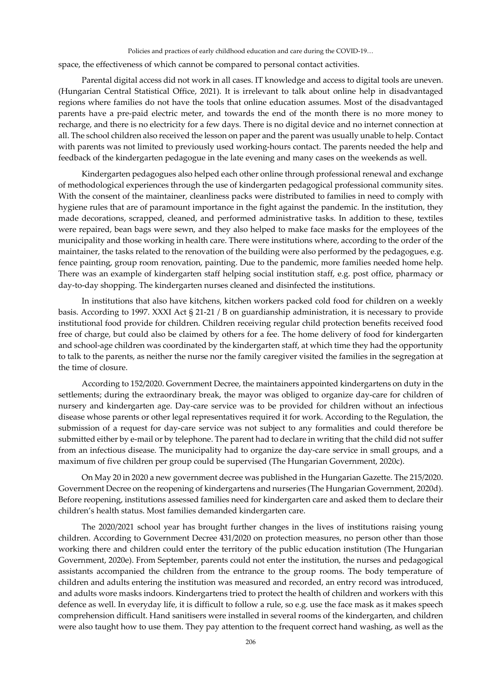space, the effectiveness of which cannot be compared to personal contact activities.

Parental digital access did not work in all cases. IT knowledge and access to digital tools are uneven. (Hungarian Central Statistical Office, 2021). It is irrelevant to talk about online help in disadvantaged regions where families do not have the tools that online education assumes. Most of the disadvantaged parents have a pre-paid electric meter, and towards the end of the month there is no more money to recharge, and there is no electricity for a few days. There is no digital device and no internet connection at all. The school children also received the lesson on paper and the parent was usually unable to help. Contact with parents was not limited to previously used working-hours contact. The parents needed the help and feedback of the kindergarten pedagogue in the late evening and many cases on the weekends as well.

Kindergarten pedagogues also helped each other online through professional renewal and exchange of methodological experiences through the use of kindergarten pedagogical professional community sites. With the consent of the maintainer, cleanliness packs were distributed to families in need to comply with hygiene rules that are of paramount importance in the fight against the pandemic. In the institution, they made decorations, scrapped, cleaned, and performed administrative tasks. In addition to these, textiles were repaired, bean bags were sewn, and they also helped to make face masks for the employees of the municipality and those working in health care. There were institutions where, according to the order of the maintainer, the tasks related to the renovation of the building were also performed by the pedagogues, e.g. fence painting, group room renovation, painting. Due to the pandemic, more families needed home help. There was an example of kindergarten staff helping social institution staff, e.g. post office, pharmacy or day-to-day shopping. The kindergarten nurses cleaned and disinfected the institutions.

In institutions that also have kitchens, kitchen workers packed cold food for children on a weekly basis. According to 1997. XXXI Act § 21-21 / B on guardianship administration, it is necessary to provide institutional food provide for children. Children receiving regular child protection benefits received food free of charge, but could also be claimed by others for a fee. The home delivery of food for kindergarten and school-age children was coordinated by the kindergarten staff, at which time they had the opportunity to talk to the parents, as neither the nurse nor the family caregiver visited the families in the segregation at the time of closure.

According to 152/2020. Government Decree, the maintainers appointed kindergartens on duty in the settlements; during the extraordinary break, the mayor was obliged to organize day-care for children of nursery and kindergarten age. Day-care service was to be provided for children without an infectious disease whose parents or other legal representatives required it for work. According to the Regulation, the submission of a request for day-care service was not subject to any formalities and could therefore be submitted either by e-mail or by telephone. The parent had to declare in writing that the child did not suffer from an infectious disease. The municipality had to organize the day-care service in small groups, and a maximum of five children per group could be supervised (The Hungarian Government, 2020c).

On May 20 in 2020 a new government decree was published in the Hungarian Gazette. The 215/2020. Government Decree on the reopening of kindergartens and nurseries (The Hungarian Government, 2020d). Before reopening, institutions assessed families need for kindergarten care and asked them to declare their children's health status. Most families demanded kindergarten care.

The 2020/2021 school year has brought further changes in the lives of institutions raising young children. According to Government Decree 431/2020 on protection measures, no person other than those working there and children could enter the territory of the public education institution (The Hungarian Government, 2020e). From September, parents could not enter the institution, the nurses and pedagogical assistants accompanied the children from the entrance to the group rooms. The body temperature of children and adults entering the institution was measured and recorded, an entry record was introduced, and adults wore masks indoors. Kindergartens tried to protect the health of children and workers with this defence as well. In everyday life, it is difficult to follow a rule, so e.g. use the face mask as it makes speech comprehension difficult. Hand sanitisers were installed in several rooms of the kindergarten, and children were also taught how to use them. They pay attention to the frequent correct hand washing, as well as the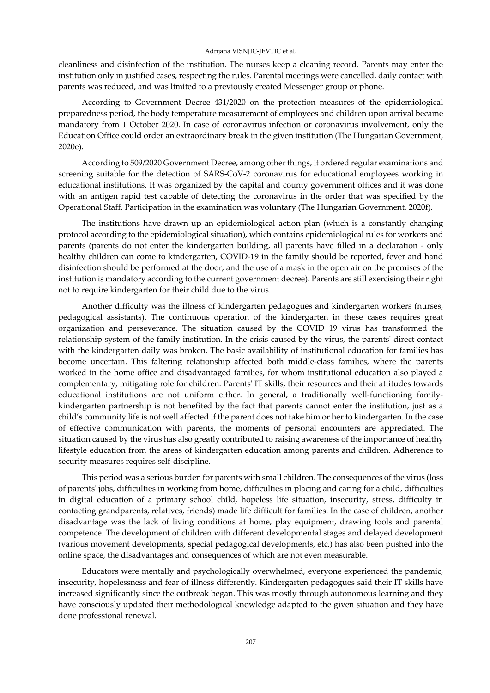cleanliness and disinfection of the institution. The nurses keep a cleaning record. Parents may enter the institution only in justified cases, respecting the rules. Parental meetings were cancelled, daily contact with parents was reduced, and was limited to a previously created Messenger group or phone.

According to Government Decree 431/2020 on the protection measures of the epidemiological preparedness period, the body temperature measurement of employees and children upon arrival became mandatory from 1 October 2020. In case of coronavirus infection or coronavirus involvement, only the Education Office could order an extraordinary break in the given institution (The Hungarian Government, 2020e).

According to 509/2020 Government Decree, among other things, it ordered regular examinations and screening suitable for the detection of SARS-CoV-2 coronavirus for educational employees working in educational institutions. It was organized by the capital and county government offices and it was done with an antigen rapid test capable of detecting the coronavirus in the order that was specified by the Operational Staff. Participation in the examination was voluntary (The Hungarian Government, 2020f).

The institutions have drawn up an epidemiological action plan (which is a constantly changing protocol according to the epidemiological situation), which contains epidemiological rules for workers and parents (parents do not enter the kindergarten building, all parents have filled in a declaration - only healthy children can come to kindergarten, COVID-19 in the family should be reported, fever and hand disinfection should be performed at the door, and the use of a mask in the open air on the premises of the institution is mandatory according to the current government decree). Parents are still exercising their right not to require kindergarten for their child due to the virus.

Another difficulty was the illness of kindergarten pedagogues and kindergarten workers (nurses, pedagogical assistants). The continuous operation of the kindergarten in these cases requires great organization and perseverance. The situation caused by the COVID 19 virus has transformed the relationship system of the family institution. In the crisis caused by the virus, the parents' direct contact with the kindergarten daily was broken. The basic availability of institutional education for families has become uncertain. This faltering relationship affected both middle-class families, where the parents worked in the home office and disadvantaged families, for whom institutional education also played a complementary, mitigating role for children. Parents' IT skills, their resources and their attitudes towards educational institutions are not uniform either. In general, a traditionally well-functioning familykindergarten partnership is not benefited by the fact that parents cannot enter the institution, just as a child's community life is not well affected if the parent does not take him or her to kindergarten. In the case of effective communication with parents, the moments of personal encounters are appreciated. The situation caused by the virus has also greatly contributed to raising awareness of the importance of healthy lifestyle education from the areas of kindergarten education among parents and children. Adherence to security measures requires self-discipline.

This period was a serious burden for parents with small children. The consequences of the virus (loss of parents' jobs, difficulties in working from home, difficulties in placing and caring for a child, difficulties in digital education of a primary school child, hopeless life situation, insecurity, stress, difficulty in contacting grandparents, relatives, friends) made life difficult for families. In the case of children, another disadvantage was the lack of living conditions at home, play equipment, drawing tools and parental competence. The development of children with different developmental stages and delayed development (various movement developments, special pedagogical developments, etc.) has also been pushed into the online space, the disadvantages and consequences of which are not even measurable.

Educators were mentally and psychologically overwhelmed, everyone experienced the pandemic, insecurity, hopelessness and fear of illness differently. Kindergarten pedagogues said their IT skills have increased significantly since the outbreak began. This was mostly through autonomous learning and they have consciously updated their methodological knowledge adapted to the given situation and they have done professional renewal.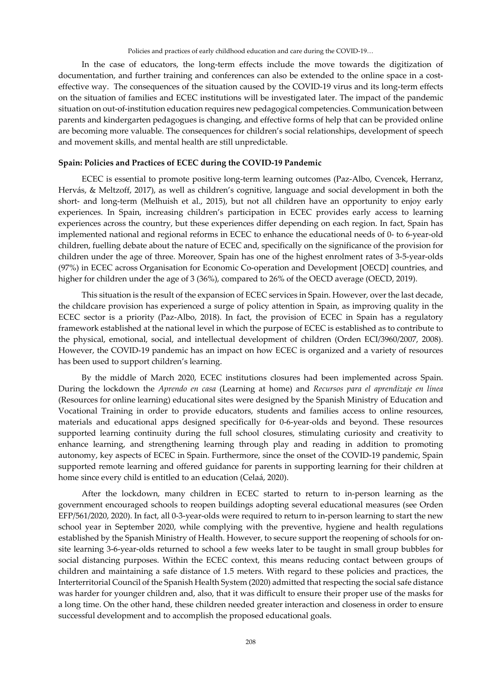In the case of educators, the long-term effects include the move towards the digitization of documentation, and further training and conferences can also be extended to the online space in a costeffective way. The consequences of the situation caused by the COVID-19 virus and its long-term effects on the situation of families and ECEC institutions will be investigated later. The impact of the pandemic situation on out-of-institution education requires new pedagogical competencies. Communication between parents and kindergarten pedagogues is changing, and effective forms of help that can be provided online are becoming more valuable. The consequences for children's social relationships, development of speech and movement skills, and mental health are still unpredictable.

# **Spain: Policies and Practices of ECEC during the COVID-19 Pandemic**

ECEC is essential to promote positive long-term learning outcomes (Paz-Albo, Cvencek, Herranz, Hervás, & Meltzoff, 2017), as well as children's cognitive, language and social development in both the short- and long-term (Melhuish et al., 2015), but not all children have an opportunity to enjoy early experiences. In Spain, increasing children's participation in ECEC provides early access to learning experiences across the country, but these experiences differ depending on each region. In fact, Spain has implemented national and regional reforms in ECEC to enhance the educational needs of 0- to 6-year-old children, fuelling debate about the nature of ECEC and, specifically on the significance of the provision for children under the age of three. Moreover, Spain has one of the highest enrolment rates of 3-5-year-olds (97%) in ECEC across Organisation for Economic Co-operation and Development [OECD] countries, and higher for children under the age of 3 (36%), compared to 26% of the OECD average (OECD, 2019).

This situation is the result of the expansion of ECEC services in Spain. However, over the last decade, the childcare provision has experienced a surge of policy attention in Spain, as improving quality in the ECEC sector is a priority (Paz-Albo, 2018). In fact, the provision of ECEC in Spain has a regulatory framework established at the national level in which the purpose of ECEC is established as to contribute to the physical, emotional, social, and intellectual development of children (Orden ECI/3960/2007, 2008). However, the COVID-19 pandemic has an impact on how ECEC is organized and a variety of resources has been used to support children's learning.

By the middle of March 2020, ECEC institutions closures had been implemented across Spain. During the lockdown the *Aprendo en casa* (Learning at home) and *Recursos para el aprendizaje en línea* (Resources for online learning) educational sites were designed by the Spanish Ministry of Education and Vocational Training in order to provide educators, students and families access to online resources, materials and educational apps designed specifically for 0-6-year-olds and beyond. These resources supported learning continuity during the full school closures, stimulating curiosity and creativity to enhance learning, and strengthening learning through play and reading in addition to promoting autonomy, key aspects of ECEC in Spain. Furthermore, since the onset of the COVID-19 pandemic, Spain supported remote learning and offered guidance for parents in supporting learning for their children at home since every child is entitled to an education (Celaá, 2020).

After the lockdown, many children in ECEC started to return to in-person learning as the government encouraged schools to reopen buildings adopting several educational measures (see Orden EFP/561/2020, 2020). In fact, all 0-3-year-olds were required to return to in-person learning to start the new school year in September 2020, while complying with the preventive, hygiene and health regulations established by the Spanish Ministry of Health. However, to secure support the reopening of schools for onsite learning 3-6-year-olds returned to school a few weeks later to be taught in small group bubbles for social distancing purposes. Within the ECEC context, this means reducing contact between groups of children and maintaining a safe distance of 1.5 meters. With regard to these policies and practices, the Interterritorial Council of the Spanish Health System (2020) admitted that respecting the social safe distance was harder for younger children and, also, that it was difficult to ensure their proper use of the masks for a long time. On the other hand, these children needed greater interaction and closeness in order to ensure successful development and to accomplish the proposed educational goals.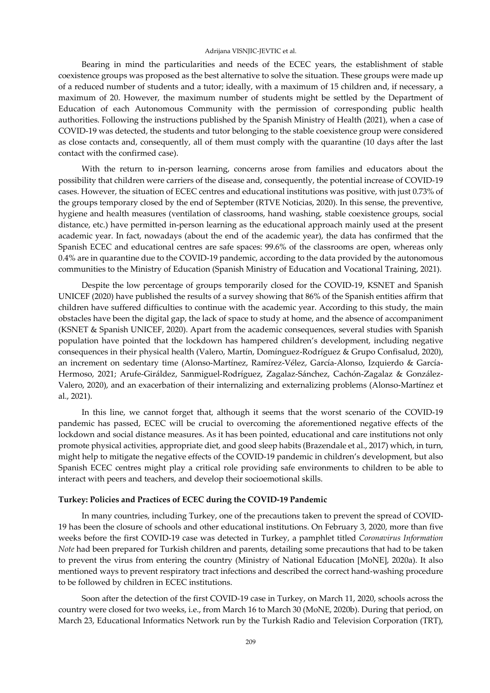Bearing in mind the particularities and needs of the ECEC years, the establishment of stable coexistence groups was proposed as the best alternative to solve the situation. These groups were made up of a reduced number of students and a tutor; ideally, with a maximum of 15 children and, if necessary, a maximum of 20. However, the maximum number of students might be settled by the Department of Education of each Autonomous Community with the permission of corresponding public health authorities. Following the instructions published by the Spanish Ministry of Health (2021), when a case of COVID-19 was detected, the students and tutor belonging to the stable coexistence group were considered as close contacts and, consequently, all of them must comply with the quarantine (10 days after the last contact with the confirmed case).

With the return to in-person learning, concerns arose from families and educators about the possibility that children were carriers of the disease and, consequently, the potential increase of COVID-19 cases. However, the situation of ECEC centres and educational institutions was positive, with just 0.73% of the groups temporary closed by the end of September (RTVE Noticias, 2020). In this sense, the preventive, hygiene and health measures (ventilation of classrooms, hand washing, stable coexistence groups, social distance, etc.) have permitted in-person learning as the educational approach mainly used at the present academic year. In fact, nowadays (about the end of the academic year), the data has confirmed that the Spanish ECEC and educational centres are safe spaces: 99.6% of the classrooms are open, whereas only 0.4% are in quarantine due to the COVID-19 pandemic, according to the data provided by the autonomous communities to the Ministry of Education (Spanish Ministry of Education and Vocational Training, 2021).

Despite the low percentage of groups temporarily closed for the COVID-19, KSNET and Spanish UNICEF (2020) have published the results of a survey showing that 86% of the Spanish entities affirm that children have suffered difficulties to continue with the academic year. According to this study, the main obstacles have been the digital gap, the lack of space to study at home, and the absence of accompaniment (KSNET & Spanish UNICEF, 2020). Apart from the academic consequences, several studies with Spanish population have pointed that the lockdown has hampered children's development, including negative consequences in their physical health (Valero, Martín, Domínguez-Rodríguez & Grupo Confisalud, 2020), an increment on sedentary time (Alonso-Martínez, Ramírez-Vélez, García-Alonso, Izquierdo & García-Hermoso, 2021; Arufe-Giráldez, Sanmiguel-Rodríguez, Zagalaz-Sánchez, Cachón-Zagalaz & González-Valero, 2020), and an exacerbation of their internalizing and externalizing problems (Alonso-Martínez et al., 2021).

In this line, we cannot forget that, although it seems that the worst scenario of the COVID-19 pandemic has passed, ECEC will be crucial to overcoming the aforementioned negative effects of the lockdown and social distance measures. As it has been pointed, educational and care institutions not only promote physical activities, appropriate diet, and good sleep habits (Brazendale et al., 2017) which, in turn, might help to mitigate the negative effects of the COVID-19 pandemic in children's development, but also Spanish ECEC centres might play a critical role providing safe environments to children to be able to interact with peers and teachers, and develop their socioemotional skills.

## **Turkey: Policies and Practices of ECEC during the COVID-19 Pandemic**

In many countries, including Turkey, one of the precautions taken to prevent the spread of COVID-19 has been the closure of schools and other educational institutions. On February 3, 2020, more than five weeks before the first COVID-19 case was detected in Turkey, a pamphlet titled *Coronavirus Information Note* had been prepared for Turkish children and parents, detailing some precautions that had to be taken to prevent the virus from entering the country (Ministry of National Education [MoNE], 2020a). It also mentioned ways to prevent respiratory tract infections and described the correct hand-washing procedure to be followed by children in ECEC institutions.

Soon after the detection of the first COVID-19 case in Turkey, on March 11, 2020, schools across the country were closed for two weeks, i.e., from March 16 to March 30 (MoNE, 2020b). During that period, on March 23, Educational Informatics Network run by the Turkish Radio and Television Corporation (TRT),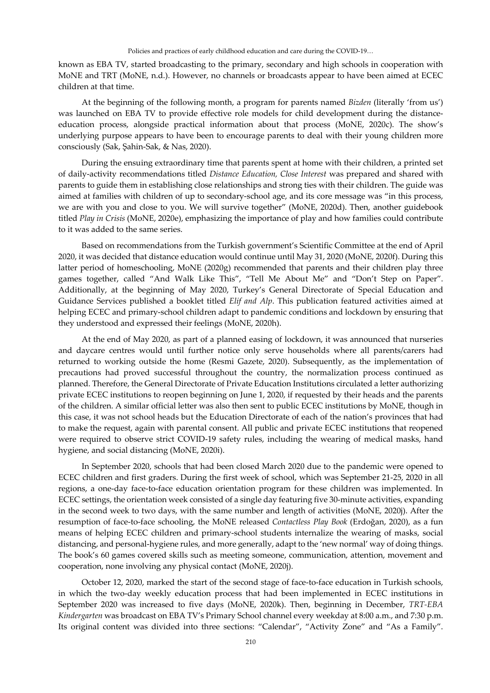known as EBA TV, started broadcasting to the primary, secondary and high schools in cooperation with MoNE and TRT (MoNE, n.d.). However, no channels or broadcasts appear to have been aimed at ECEC children at that time.

At the beginning of the following month, a program for parents named *Bizden* (literally 'from us') was launched on EBA TV to provide effective role models for child development during the distanceeducation process, alongside practical information about that process (MoNE, 2020c). The show's underlying purpose appears to have been to encourage parents to deal with their young children more consciously (Sak, Şahin-Sak, & Nas, 2020).

During the ensuing extraordinary time that parents spent at home with their children, a printed set of daily-activity recommendations titled *Distance Education, Close Interest* was prepared and shared with parents to guide them in establishing close relationships and strong ties with their children. The guide was aimed at families with children of up to secondary-school age, and its core message was "in this process, we are with you and close to you. We will survive together" (MoNE, 2020d). Then, another guidebook titled *Play in Crisis* (MoNE, 2020e), emphasizing the importance of play and how families could contribute to it was added to the same series.

Based on recommendations from the Turkish government's Scientific Committee at the end of April 2020, it was decided that distance education would continue until May 31, 2020 (MoNE, 2020f). During this latter period of homeschooling, MoNE (2020g) recommended that parents and their children play three games together, called "And Walk Like This", "Tell Me About Me" and "Don't Step on Paper". Additionally, at the beginning of May 2020, Turkey's General Directorate of Special Education and Guidance Services published a booklet titled *Elif and Alp*. This publication featured activities aimed at helping ECEC and primary-school children adapt to pandemic conditions and lockdown by ensuring that they understood and expressed their feelings (MoNE, 2020h).

At the end of May 2020, as part of a planned easing of lockdown, it was announced that nurseries and daycare centres would until further notice only serve households where all parents/carers had returned to working outside the home (Resmi Gazete, 2020). Subsequently, as the implementation of precautions had proved successful throughout the country, the normalization process continued as planned. Therefore, the General Directorate of Private Education Institutions circulated a letter authorizing private ECEC institutions to reopen beginning on June 1, 2020, if requested by their heads and the parents of the children. A similar official letter was also then sent to public ECEC institutions by MoNE, though in this case, it was not school heads but the Education Directorate of each of the nation's provinces that had to make the request, again with parental consent. All public and private ECEC institutions that reopened were required to observe strict COVID-19 safety rules, including the wearing of medical masks, hand hygiene, and social distancing (MoNE, 2020i).

In September 2020, schools that had been closed March 2020 due to the pandemic were opened to ECEC children and first graders. During the first week of school, which was September 21-25, 2020 in all regions, a one-day face-to-face education orientation program for these children was implemented. In ECEC settings, the orientation week consisted of a single day featuring five 30-minute activities, expanding in the second week to two days, with the same number and length of activities (MoNE, 2020j). After the resumption of face-to-face schooling, the MoNE released *Contactless Play Book* (Erdoğan, 2020), as a fun means of helping ECEC children and primary-school students internalize the wearing of masks, social distancing, and personal-hygiene rules, and more generally, adapt to the 'new normal' way of doing things. The book's 60 games covered skills such as meeting someone, communication, attention, movement and cooperation, none involving any physical contact (MoNE, 2020j).

October 12, 2020, marked the start of the second stage of face-to-face education in Turkish schools, in which the two-day weekly education process that had been implemented in ECEC institutions in September 2020 was increased to five days (MoNE, 2020k). Then, beginning in December, *TRT-EBA Kindergarten* was broadcast on EBA TV's Primary School channel every weekday at 8:00 a.m., and 7:30 p.m. Its original content was divided into three sections: "Calendar", "Activity Zone" and "As a Family".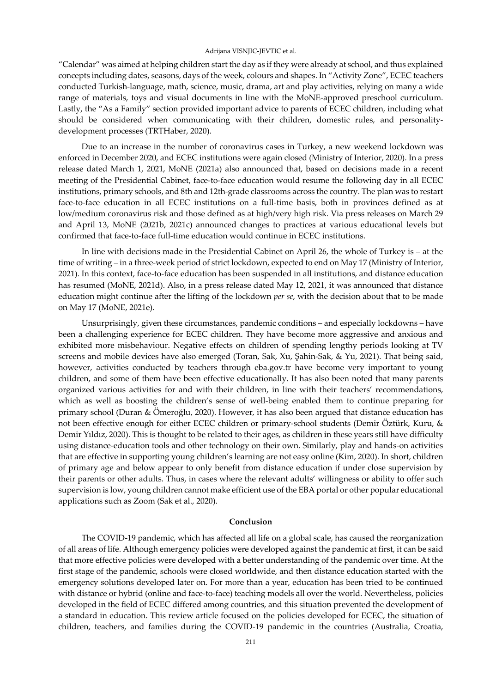"Calendar" was aimed at helping children start the day as if they were already at school, and thus explained concepts including dates, seasons, days of the week, colours and shapes. In "Activity Zone", ECEC teachers conducted Turkish-language, math, science, music, drama, art and play activities, relying on many a wide range of materials, toys and visual documents in line with the MoNE-approved preschool curriculum. Lastly, the "As a Family" section provided important advice to parents of ECEC children, including what should be considered when communicating with their children, domestic rules, and personalitydevelopment processes (TRTHaber, 2020).

Due to an increase in the number of coronavirus cases in Turkey, a new weekend lockdown was enforced in December 2020, and ECEC institutions were again closed (Ministry of Interior, 2020). In a press release dated March 1, 2021, MoNE (2021a) also announced that, based on decisions made in a recent meeting of the Presidential Cabinet, face-to-face education would resume the following day in all ECEC institutions, primary schools, and 8th and 12th-grade classrooms across the country. The plan was to restart face-to-face education in all ECEC institutions on a full-time basis, both in provinces defined as at low/medium coronavirus risk and those defined as at high/very high risk. Via press releases on March 29 and April 13, MoNE (2021b, 2021c) announced changes to practices at various educational levels but confirmed that face-to-face full-time education would continue in ECEC institutions.

In line with decisions made in the Presidential Cabinet on April 26, the whole of Turkey is – at the time of writing – in a three-week period of strict lockdown, expected to end on May 17 (Ministry of Interior, 2021). In this context, face-to-face education has been suspended in all institutions, and distance education has resumed (MoNE, 2021d). Also, in a press release dated May 12, 2021, it was announced that distance education might continue after the lifting of the lockdown *per se*, with the decision about that to be made on May 17 (MoNE, 2021e).

Unsurprisingly, given these circumstances, pandemic conditions – and especially lockdowns – have been a challenging experience for ECEC children. They have become more aggressive and anxious and exhibited more misbehaviour. Negative effects on children of spending lengthy periods looking at TV screens and mobile devices have also emerged (Toran, Sak, Xu, Şahin-Sak, & Yu, 2021). That being said, however, activities conducted by teachers through eba.gov.tr have become very important to young children, and some of them have been effective educationally. It has also been noted that many parents organized various activities for and with their children, in line with their teachers' recommendations, which as well as boosting the children's sense of well-being enabled them to continue preparing for primary school (Duran & Ömeroğlu, 2020). However, it has also been argued that distance education has not been effective enough for either ECEC children or primary-school students (Demir Öztürk, Kuru, & Demir Yıldız, 2020). This is thought to be related to their ages, as children in these years still have difficulty using distance-education tools and other technology on their own. Similarly, play and hands-on activities that are effective in supporting young children's learning are not easy online (Kim, 2020). In short, children of primary age and below appear to only benefit from distance education if under close supervision by their parents or other adults. Thus, in cases where the relevant adults' willingness or ability to offer such supervision is low, young children cannot make efficient use of the EBA portal or other popular educational applications such as Zoom (Sak et al., 2020).

## **Conclusion**

The COVID-19 pandemic, which has affected all life on a global scale, has caused the reorganization of all areas of life. Although emergency policies were developed against the pandemic at first, it can be said that more effective policies were developed with a better understanding of the pandemic over time. At the first stage of the pandemic, schools were closed worldwide, and then distance education started with the emergency solutions developed later on. For more than a year, education has been tried to be continued with distance or hybrid (online and face-to-face) teaching models all over the world. Nevertheless, policies developed in the field of ECEC differed among countries, and this situation prevented the development of a standard in education. This review article focused on the policies developed for ECEC, the situation of children, teachers, and families during the COVID-19 pandemic in the countries (Australia, Croatia,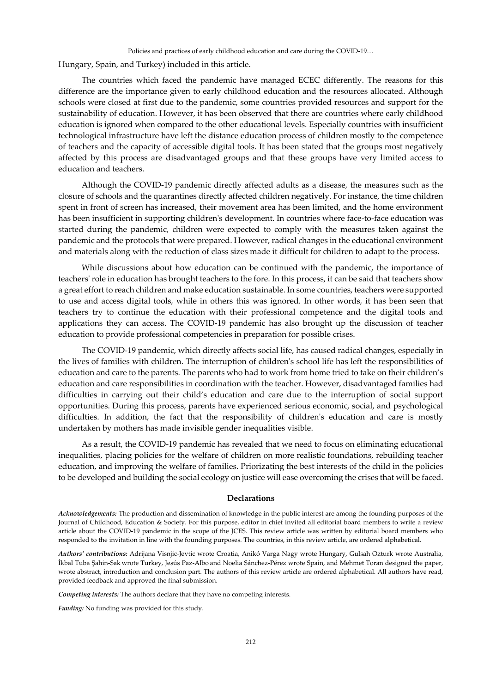Hungary, Spain, and Turkey) included in this article.

The countries which faced the pandemic have managed ECEC differently. The reasons for this difference are the importance given to early childhood education and the resources allocated. Although schools were closed at first due to the pandemic, some countries provided resources and support for the sustainability of education. However, it has been observed that there are countries where early childhood education is ignored when compared to the other educational levels. Especially countries with insufficient technological infrastructure have left the distance education process of children mostly to the competence of teachers and the capacity of accessible digital tools. It has been stated that the groups most negatively affected by this process are disadvantaged groups and that these groups have very limited access to education and teachers.

Although the COVID-19 pandemic directly affected adults as a disease, the measures such as the closure of schools and the quarantines directly affected children negatively. For instance, the time children spent in front of screen has increased, their movement area has been limited, and the home environment has been insufficient in supporting children's development. In countries where face-to-face education was started during the pandemic, children were expected to comply with the measures taken against the pandemic and the protocols that were prepared. However, radical changes in the educational environment and materials along with the reduction of class sizes made it difficult for children to adapt to the process.

While discussions about how education can be continued with the pandemic, the importance of teachers' role in education has brought teachers to the fore. In this process, it can be said that teachers show a great effort to reach children and make education sustainable. In some countries, teachers were supported to use and access digital tools, while in others this was ignored. In other words, it has been seen that teachers try to continue the education with their professional competence and the digital tools and applications they can access. The COVID-19 pandemic has also brought up the discussion of teacher education to provide professional competencies in preparation for possible crises.

The COVID-19 pandemic, which directly affects social life, has caused radical changes, especially in the lives of families with children. The interruption of children's school life has left the responsibilities of education and care to the parents. The parents who had to work from home tried to take on their children's education and care responsibilities in coordination with the teacher. However, disadvantaged families had difficulties in carrying out their child's education and care due to the interruption of social support opportunities. During this process, parents have experienced serious economic, social, and psychological difficulties. In addition, the fact that the responsibility of children's education and care is mostly undertaken by mothers has made invisible gender inequalities visible.

As a result, the COVID-19 pandemic has revealed that we need to focus on eliminating educational inequalities, placing policies for the welfare of children on more realistic foundations, rebuilding teacher education, and improving the welfare of families. Priorizating the best interests of the child in the policies to be developed and building the social ecology on justice will ease overcoming the crises that will be faced.

#### **Declarations**

*Authors' contributions:* Adrijana Visnjic-Jevtic wrote Croatia, Anikó Varga Nagy wrote Hungary, Gulsah Ozturk wrote Australia, İkbal Tuba Şahin-Sak wrote Turkey, Jesús Paz-Albo and Noelia Sánchez-Pérez wrote Spain, and Mehmet Toran designed the paper, wrote abstract, introduction and conclusion part. The authors of this review article are ordered alphabetical. All authors have read, provided feedback and approved the final submission.

*Competing interests:* The authors declare that they have no competing interests.

*Funding:* No funding was provided for this study.

*Acknowledgements:* The production and dissemination of knowledge in the public interest are among the founding purposes of the Journal of Childhood, Education & Society. For this purpose, editor in chief invited all editorial board members to write a review article about the COVID-19 pandemic in the scope of the JCES. This review article was written by editorial board members who responded to the invitation in line with the founding purposes. The countries, in this review article, are ordered alphabetical.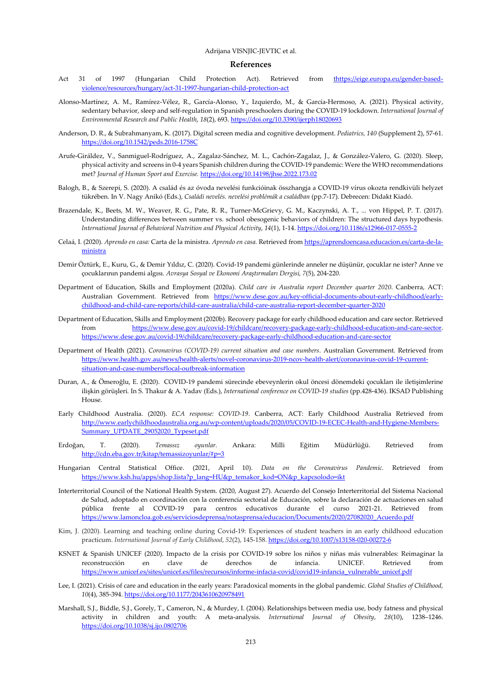#### **References**

- Ac[t](https://eige.europa.eu/print/gender-based-violence/resources/hungary/act-31-1997-hungarian-child-protection-act) 31 of 1997 (Hungarian Child Protection Act). Retrieved from t[https://eige.europa.eu/gender-based](https://eige.europa.eu/gender-based-violence/resources/hungary/act-31-1997-hungarian-child-protection-act)[violence/resources/hungary/act-31-1997-hungarian-child-protection-act](https://eige.europa.eu/gender-based-violence/resources/hungary/act-31-1997-hungarian-child-protection-act)
- Alonso-Martínez, A. M., Ramírez-Vélez, R., García-Alonso, Y., Izquierdo, M., & García-Hermoso, A. (2021). Physical activity, sedentary behavior, sleep and self-regulation in Spanish preschoolers during the COVID-19 lockdown. *International Journal of Environmental Research and Public Health*, *18*(2), 693[. https://doi.org/10.3390/ijerph18020693](https://doi.org/10.3390/ijerph18020693)
- Anderson, D. R., & Subrahmanyam, K. (2017). Digital screen media and cognitive development. *Pediatrics, 140* (Supplement 2), 57-61. <https://doi.org/10.1542/peds.2016-1758C>
- Arufe-Giráldez, V., Sanmiguel-Rodríguez, A., Zagalaz-Sánchez, M. L., Cachón-Zagalaz, J., & González-Valero, G. (2020). Sleep, physical activity and screens in 0-4 years Spanish children during the COVID-19 pandemic: Were the WHO recommendations met? *Journal of Human Sport and Exercise.* <https://doi.org/10.14198/jhse.2022.173.02>
- Balogh, B., & Szerepi, S. (2020). A család és az óvoda nevelési funkcióinak összhangja a COVID-19 vírus okozta rendkivüli helyzet tükrében. In V. Nagy Anikó (Eds.), *Családi nevelés. nevelési problémák a családban* (pp.7-17). Debrecen: Didakt Kiadó.
- Brazendale, K., Beets, M. W., Weaver, R. G., Pate, R. R., Turner-McGrievy, G. M., Kaczynski, A. T., ... von Hippel, P. T. (2017). Understanding differences between summer vs. school obesogenic behaviors of children: The structured days hypothesis. *International Journal of Behavioral Nutrition and Physical Activity*, *14*(1), 1-14[. https://doi.org/10.1186/s12966-017-0555-2](https://doi.org/10.1186/s12966-017-0555-2)
- Celaá, I. (2020). *Aprendo en casa:* Carta de la ministra. *Aprendo en casa.* Retrieved fro[m https://aprendoencasa.educacion.es/carta-de-la](https://aprendoencasa.educacion.es/carta-de-la-ministra)[ministra](https://aprendoencasa.educacion.es/carta-de-la-ministra)
- Demir Öztürk, E., Kuru, G., & Demir Yıldız, C. (2020). Covid-19 pandemi günlerinde anneler ne düşünür, çocuklar ne ister? Anne ve çocuklarının pandemi algısı. *Avrasya Sosyal ve Ekonomi Araştırmaları Dergisi, 7*(5), 204-220.
- Department of Education, Skills and Employment (2020a). *Child care in Australia report December quarter 2020*. Canberra, ACT: Australian Government. Retrieved from [https://www.dese.gov.au/key-official-documents-about-early-childhood/early](https://www.dese.gov.au/key-official-documents-about-early-childhood/early-childhood-and-child-care-reports/child-care-australia/child-care-australia-report-december-quarter-2020)[childhood-and-child-care-reports/child-care-australia/child-care-australia-report-december-quarter-2020](https://www.dese.gov.au/key-official-documents-about-early-childhood/early-childhood-and-child-care-reports/child-care-australia/child-care-australia-report-december-quarter-2020)
- Department of Education, Skills and Employment (2020b). Recovery package for early childhood education and care sector. Retrieved from [https://www.dese.gov.au/covid-19/childcare/recovery-package-early-childhood-education-and-care-sector.](https://www.dese.gov.au/covid-19/childcare/recovery-package-early-childhood-education-and-care-sector)  <https://www.dese.gov.au/covid-19/childcare/recovery-package-early-childhood-education-and-care-sector>
- Department of Health (2021). *Coronavirus (COVID-19) current situation and case numbers*. Australian Government. Retrieved from [https://www.health.gov.au/news/health-alerts/novel-coronavirus-2019-ncov-health-alert/coronavirus-covid-19-current](https://www.health.gov.au/news/health-alerts/novel-coronavirus-2019-ncov-health-alert/coronavirus-covid-19-current-situation-and-case-numbers#local-outbreak-information)[situation-and-case-numbers#local-outbreak-information](https://www.health.gov.au/news/health-alerts/novel-coronavirus-2019-ncov-health-alert/coronavirus-covid-19-current-situation-and-case-numbers#local-outbreak-information)
- Duran, A., & Ömeroğlu, E. (2020). COVID-19 pandemi sürecinde ebeveynlerin okul öncesi dönemdeki çocukları ile iletişimlerine ilişkin görüşleri*.* In S. Thakur & A. Yadav (Eds.), *International conference on COVID-19 studies* (pp.428-436). IKSAD Publishing House.
- Early Childhood Australia. (2020). *ECA response: COVID-19*. Canberra, ACT: Early Childhood Australia Retrieved from [http://www.earlychildhoodaustralia.org.au/wp-content/uploads/2020/05/COVID-19-ECEC-Health-and-Hygiene-Members-](http://www.earlychildhoodaustralia.org.au/wp-content/uploads/2020/05/COVID-19-ECEC-Health-and-Hygiene-Members-Summary_UPDATE_29052020_Typeset.pdf)[Summary\\_UPDATE\\_29052020\\_Typeset.pdf](http://www.earlychildhoodaustralia.org.au/wp-content/uploads/2020/05/COVID-19-ECEC-Health-and-Hygiene-Members-Summary_UPDATE_29052020_Typeset.pdf)
- Erdoğan, T. (2020). *Temassız oyunlar.* Ankara: Milli Eğitim Müdürlüğü. Retrieved from <http://cdn.eba.gov.tr/kitap/temassizoyunlar/#p=3>
- Hungarian Central Statistical Office. (2021, April 10). *Data on the Coronavirus Pandemic.* Retrieved from [https://www.ksh.hu/apps/shop.lista?p\\_lang=HU&p\\_temakor\\_kod=ON&p\\_kapcsolodo=ikt](https://www.ksh.hu/apps/shop.lista?p_lang=HU&p_temakor_kod=ON&p_kapcsolodo=ikt)
- Interterritorial Council of the National Health System. (2020, August 27). Acuerdo del Consejo Interterritorial del Sistema Nacional de Salud, adoptado en coordinación con la conferencia sectorial de Educación, sobre la declaración de actuaciones en salud pública frente al COVID-19 para centros educativos durante el curso 2021-21. Retrieved from [https://www.lamoncloa.gob.es/serviciosdeprensa/notasprensa/educacion/Documents/2020/27082020\\_Acuerdo.pdf](https://www.lamoncloa.gob.es/serviciosdeprensa/notasprensa/educacion/Documents/2020/27082020_Acuerdo.pdf)
- Kim, J. (2020). Learning and teaching online during Covid-19: Experiences of student teachers in an early childhood education practicum. *International Journal of Early Childhood*, *52*(2), 145-158[. https://doi.org/10.1007/s13158-020-00272-6](https://doi.org/10.1007/s13158-020-00272-6)
- KSNET & Spanish UNICEF (2020). Impacto de la crisis por COVID-19 sobre los niños y niñas más vulnerables: Reimaginar la reconstrucción en clave de derechos de infancia. UNICEF. Retrieved from [https://www.unicef.es/sites/unicef.es/files/recursos/informe-infacia-covid/covid19-infancia\\_vulnerable\\_unicef.pdf](https://www.unicef.es/sites/unicef.es/files/recursos/informe-infacia-covid/covid19-infancia_vulnerable_unicef.pdf)
- Lee, I. (2021). Crisis of care and education in the early years: Paradoxical moments in the global pandemic. *Global Studies of Childhood, 10*(4), 385-394[. https://doi.org/10.1177/2043610620978491](https://doi.org/10.1177/2043610620978491)
- Marshall, S.J., Biddle, S.J., Gorely, T., Cameron, N., & Murdey, I. (2004). Relationships between media use, body fatness and physical activity in children and youth: A meta-analysis. *International Journal of Obesity*, *28*(10), 1238–1246. <https://doi.org/10.1038/sj.ijo.0802706>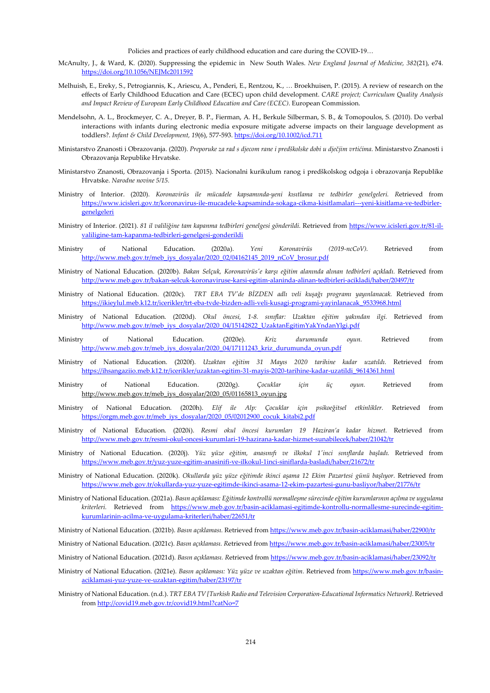Policies and practices of early childhood education and care during the COVID-19…

- McAnulty, J., & Ward, K. (2020). Suppressing the epidemic in New South Wales. *New England Journal of Medicine, 382*(21), e74. <https://doi.org/10.1056/NEJMc2011592>
- Melhuish, E., Ereky, S., Petrogiannis, K., Ariescu, A., Penderi, E., Rentzou, K., … Broekhuisen, P. (2015). A review of research on the effects of Early Childhood Education and Care (ECEC) upon child development. *CARE project; Curriculum Quality Analysis and Impact Review of European Early Childhood Education and Care (ECEC)*. European Commission.
- Mendelsohn, A. L., Brockmeyer, C. A., Dreyer, B. P., Fierman, A. H., Berkule Silberman, S. B., & Tomopoulos, S. (2010). Do verbal interactions with infants during electronic media exposure mitigate adverse impacts on their language development as toddlers?. *Infant & Child Development, 19*(6), 577-593.<https://doi.org/10.1002/icd.711>
- Ministarstvo Znanosti i Obrazovanja. (2020). *Preporuke za rad s djecom rane i predškolske dobi u dječjim vrtićima.* Ministarstvo Znanosti i Obrazovanja Republike Hrvatske.
- Ministarstvo Znanosti, Obrazovanja i Sporta. (2015). Nacionalni kurikulum ranog i predškolskog odgoja i obrazovanja Republike Hrvatske. *Narodne novine 5/15.*
- Ministry of Interior. (2020). *Koronavirüs ile mücadele kapsamında-yeni kısıtlama ve tedbirler genelgeleri. R*etrieved from [https://www.icisleri.gov.tr/koronavirus-ile-mucadele-kapsaminda-sokaga-cikma-kisitlamalari---yeni-kisitlama-ve-tedbirler](https://www.icisleri.gov.tr/koronavirus-ile-mucadele-kapsaminda-sokaga-cikma-kisitlamalari---yeni-kisitlama-ve-tedbirler-genelgeleri)[genelgeleri](https://www.icisleri.gov.tr/koronavirus-ile-mucadele-kapsaminda-sokaga-cikma-kisitlamalari---yeni-kisitlama-ve-tedbirler-genelgeleri)
- Ministry of Interior. (2021). *81 il valiliğine tam kapanma tedbirleri genelgesi gönderildi.* Retrieved from [https://www.icisleri.gov.tr/81-il](https://www.icisleri.gov.tr/81-il-valiligine-tam-kapanma-tedbirleri-genelgesi-gonderildi)[valiligine-tam-kapanma-tedbirleri-genelgesi-gonderildi](https://www.icisleri.gov.tr/81-il-valiligine-tam-kapanma-tedbirleri-genelgesi-gonderildi)
- Ministry of National Education. (2020a). *Yeni Koronavirüs (2019-ncCoV).* Retrieved from http://www.meb.gov.tr/meb\_iys\_dosyalar/2020\_02/04162145\_2019\_nCoV\_brosur.pdf
- Ministry of National Education. (2020b). *Bakan Selçuk, Koronavirüs'e karşı eğitim alanında alınan tedbirleri açıkladı.* Retrieved from <http://www.meb.gov.tr/bakan-selcuk-koronaviruse-karsi-egitim-alaninda-alinan-tedbirleri-acikladi/haber/20497/tr>
- Ministry of National Education. (2020c). *TRT EBA TV'de BİZDEN adlı veli kuşağı programı yayınlanacak.* Retrieved from [https://ikieylul.meb.k12.tr/icerikler/trt-eba-tvde-bizden-adli-veli-kusagi-programi-yayinlanacak\\_9533968.html](https://ikieylul.meb.k12.tr/icerikler/trt-eba-tvde-bizden-adli-veli-kusagi-programi-yayinlanacak_9533968.html)
- Ministry of National Education. (2020d). *Okul öncesi, 1-8. sınıflar: Uzaktan eğitim yakından ilgi.* Retrieved from [http://www.meb.gov.tr/meb\\_iys\\_dosyalar/2020\\_04/15142822\\_UzaktanEgitimYakYndanYlgi.pdf](http://www.meb.gov.tr/meb_iys_dosyalar/2020_04/15142822_UzaktanEgitimYakYndanYlgi.pdf)
- Ministry of National Education. (2020e). *Kriz durumunda oyun.* Retrieved from [http://www.meb.gov.tr/meb\\_iys\\_dosyalar/2020\\_04/17111243\\_kriz\\_durumunda\\_oyun.pdf](http://www.meb.gov.tr/meb_iys_dosyalar/2020_04/17111243_kriz_durumunda_oyun.pdf)
- Ministry of National Education. (2020f). *Uzaktan eğitim 31 Mayıs 2020 tarihine kadar uzatıldı.* Retrieved from [https://ihsangaziio.meb.k12.tr/icerikler/uzaktan-egitim-31-mayis-2020-tarihine-kadar-uzatildi\\_9614361.html](https://ihsangaziio.meb.k12.tr/icerikler/uzaktan-egitim-31-mayis-2020-tarihine-kadar-uzatildi_9614361.html)
- Ministry of National Education. (2020g). *Çocuklar için üç oyun.* Retrieved from [http://www.meb.gov.tr/meb\\_iys\\_dosyalar/2020\\_05/01165813\\_oyun.jpg](http://www.meb.gov.tr/meb_iys_dosyalar/2020_05/01165813_oyun.jpg)
- Ministry of National Education. (2020h). *Elif ile Alp: Çocuklar için psikoeğitsel etkinlikler.* Retrieved from [https://orgm.meb.gov.tr/meb\\_iys\\_dosyalar/2020\\_05/02012900\\_cocuk\\_kitabi2.pdf](https://orgm.meb.gov.tr/meb_iys_dosyalar/2020_05/02012900_cocuk_kitabi2.pdf)
- Ministry of National Education. (2020i). *Resmi okul öncesi kurumları 19 Haziran'a kadar hizmet.* Retrieved from <http://www.meb.gov.tr/resmi-okul-oncesi-kurumlari-19-hazirana-kadar-hizmet-sunabilecek/haber/21042/tr>
- Ministry of National Education. (2020j). *Yüz yüze eğitim, anasınıfı ve ilkokul 1'inci sınıflarda başladı.* Retrieved from <https://www.meb.gov.tr/yuz-yuze-egitim-anasinifi-ve-ilkokul-1inci-siniflarda-basladi/haber/21672/tr>
- Ministry of National Education. (2020k). *Okullarda yüz yüze eğitimde ikinci aşama 12 Ekim Pazartesi günü başlıyor.* Retrieved from <https://www.meb.gov.tr/okullarda-yuz-yuze-egitimde-ikinci-asama-12-ekim-pazartesi-gunu-basliyor/haber/21776/tr>
- Ministry of National Education. (2021a). *Basın açıklaması: Eğitimde kontrollü normalleşme sürecinde eğitim kurumlarının açılma ve uygulama kriterleri.* Retrieved from [https://www.meb.gov.tr/basin-aciklamasi-egitimde-kontrollu-normallesme-surecinde-egitim](https://www.meb.gov.tr/basin-aciklamasi-egitimde-kontrollu-normallesme-surecinde-egitim-kurumlarinin-acilma-ve-uygulama-kriterleri/haber/22651/tr)[kurumlarinin-acilma-ve-uygulama-kriterleri/haber/22651/tr](https://www.meb.gov.tr/basin-aciklamasi-egitimde-kontrollu-normallesme-surecinde-egitim-kurumlarinin-acilma-ve-uygulama-kriterleri/haber/22651/tr)
- Ministry of National Education. (2021b). *Basın açıklaması.* Retrieved fro[m https://www.meb.gov.tr/basin-aciklamasi/haber/22900/tr](https://www.meb.gov.tr/basin-aciklamasi/haber/22900/tr)
- Ministry of National Education. (2021c). *Basın açıklaması. R*etrieved fro[m https://www.meb.gov.tr/basin-aciklamasi/haber/23005/tr](https://www.meb.gov.tr/basin-aciklamasi/haber/23005/tr)
- Ministry of National Education. (2021d). *Basın açıklaması. R*etrieved from<https://www.meb.gov.tr/basin-aciklamasi/haber/23092/tr>
- Ministry of National Education. (2021e). *Basın açıklaması: Yüz yüze ve uzaktan eğitim.* Retrieved from [https://www.meb.gov.tr/basin](https://www.meb.gov.tr/basin-aciklamasi-yuz-yuze-ve-uzaktan-egitim/haber/23197/tr)[aciklamasi-yuz-yuze-ve-uzaktan-egitim/haber/23197/tr](https://www.meb.gov.tr/basin-aciklamasi-yuz-yuze-ve-uzaktan-egitim/haber/23197/tr)
- Ministry of National Education. (n.d.). *TRT EBA TV [Turkish Radio and Television Corporation-Educational Informatics Network]*. Retrieved fro[m http://covid19.meb.gov.tr/covid19.html?catNo=7](http://covid19.meb.gov.tr/covid19.html?catNo=7)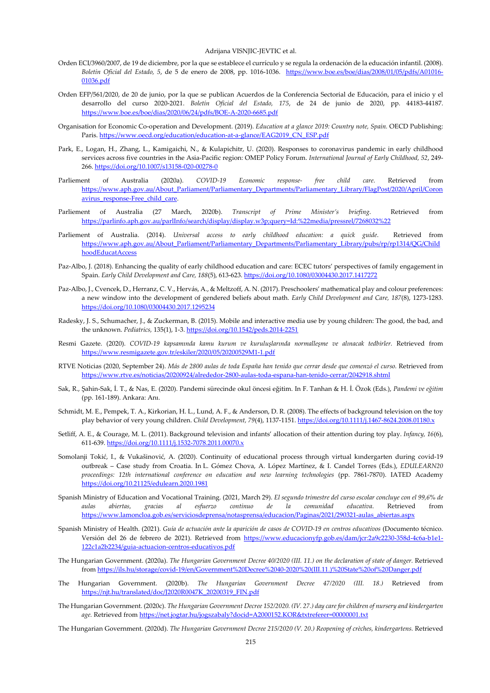- Orden ECI/3960/2007, de 19 de diciembre, por la que se establece el currículo y se regula la ordenación de la educación infantil. (2008). *Boletín Oficial del Estado, 5*, de 5 de enero de 2008, pp. 1016-1036. [https://www.boe.es/boe/dias/2008/01/05/pdfs/A01016-](https://www.boe.es/boe/dias/2008/01/05/pdfs/A01016-01036.pdf) [01036.pdf](https://www.boe.es/boe/dias/2008/01/05/pdfs/A01016-01036.pdf)
- Orden EFP/561/2020, de 20 de junio, por la que se publican Acuerdos de la Conferencia Sectorial de Educación, para el inicio y el desarrollo del curso 2020-2021. *Boletín Oficial del Estado, 175*, de 24 de junio de 2020, pp. 44183-44187. <https://www.boe.es/boe/dias/2020/06/24/pdfs/BOE-A-2020-6685.pdf>
- Organisation for Economic Co-operation and Development. (2019). *Education at a glance 2019: Country note, Spain.* OECD Publishing: Paris. [https://www.oecd.org/education/education-at-a-glance/EAG2019\\_CN\\_ESP.pdf](https://www.oecd.org/education/education-at-a-glance/EAG2019_CN_ESP.pdf)
- Park, E., Logan, H., Zhang, L., Kamigaichi, N., & Kulapichitr, U. (2020). Responses to coronavirus pandemic in early childhood services across five countries in the Asia-Pacific region: OMEP Policy Forum. *International Journal of Early Childhood, 52*, 249- 266[. https://doi.org/10.1007/s13158-020-00278-0](https://doi.org/10.1007/s13158-020-00278-0)
- Parliement of Australia (2020a). *COVID-19 Economic response- free child care.* Retrieved from [https://www.aph.gov.au/About\\_Parliament/Parliamentary\\_Departments/Parliamentary\\_Library/FlagPost/2020/April/Coron](https://www.aph.gov.au/About_Parliament/Parliamentary_Departments/Parliamentary_Library/FlagPost/2020/April/Coronavirus_response-Free_child_care) avirus response-Free child care.
- Parliement of Australia (27 March, 2020b). *Transcript of Prime Minister's briefing*. Retrieved from <https://parlinfo.aph.gov.au/parlInfo/search/display/display.w3p;query=Id:%22media/pressrel/7268032%22>
- Parliement of Australia. (2014). *Universal access to early childhood education: a quick guide*. Retrieved from [https://www.aph.gov.au/About\\_Parliament/Parliamentary\\_Departments/Parliamentary\\_Library/pubs/rp/rp1314/QG/Child](https://www.aph.gov.au/About_Parliament/Parliamentary_Departments/Parliamentary_Library/pubs/rp/rp1314/QG/ChildhoodEducatAccess) [hoodEducatAccess](https://www.aph.gov.au/About_Parliament/Parliamentary_Departments/Parliamentary_Library/pubs/rp/rp1314/QG/ChildhoodEducatAccess)
- Paz-Albo, J. (2018). Enhancing the quality of early childhood education and care: ECEC tutors' perspectives of family engagement in Spain. *Early Child Development and Care, 188*(5), 613-623[. https://doi.org/10.1080/03004430.2017.1417272](https://doi.org/10.1080/03004430.2017.1417272)
- Paz-Albo, J., Cvencek, D., Herranz, C. V., Hervás, A., & Meltzoff, A. N. (2017). Preschoolers' mathematical play and colour preferences: a new window into the development of gendered beliefs about math. *Early Child Development and Care, 187*(8), 1273-1283. <https://doi.org/10.1080/03004430.2017.1295234>
- Radesky, J. S., Schumacher, J., & Zuckerman, B. (2015). Mobile and interactive media use by young children: The good, the bad, and the unknown. *Pediatrics,* 135(1), 1-3.<https://doi.org/10.1542/peds.2014-2251>
- Resmi Gazete. (2020). *COVID-19 kapsamında kamu kurum ve kuruluşlarında normalleşme ve alınacak tedbirler.* Retrieved from <https://www.resmigazete.gov.tr/eskiler/2020/05/20200529M1-1.pdf>
- RTVE Noticias (2020, September 24). *Más de 2800 aulas de toda España han tenido que cerrar desde que comenzó el curso.* Retrieved from <https://www.rtve.es/noticias/20200924/alrededor-2800-aulas-toda-espana-han-tenido-cerrar/2042918.shtml>
- Sak, R., Şahin-Sak, İ. T., & Nas, E. (2020). Pandemi sürecinde okul öncesi eğitim. In F. Tanhan & H. İ. Özok (Eds.), *Pandemi ve eğitim*  (pp. 161-189). Ankara: Anı.
- Schmidt, M. E., Pempek, T. A., Kirkorian, H. L., Lund, A. F., & Anderson, D. R. (2008). The effects of background television on the toy play behavior of very young children. *Child Development, 79*(4), 1137-1151[. https://doi.org/10.1111/j.1467-8624.2008.01180.x](https://doi.org/10.1111/j.1467-8624.2008.01180.x)
- Setliff, A. E., & Courage, M. L. (2011). Background television and infants' allocation of their attention during toy play. *Infancy, 16*(6), 611-639. <https://doi.org/10.1111/j.1532-7078.2011.00070.x>
- Somolanji Tokić, I., & Vukašinović, A. (2020). Continuity of educational process through virtual kındergarten during covid-19 outbreak – Case study from Croatia. In L. Gómez Chova, A. López Martínez, & I. Candel Torres (Eds.), *EDULEARN20 proceedings: 12th international conference on education and new learning technologies* (pp. 7861-7870). IATED Academy <https://doi.org/10.21125/edulearn.2020.1981>
- Spanish Ministry of Education and Vocational Training. (2021, March 29). *El segundo trimestre del curso escolar concluye con el 99,6% de aulas abiertas, gracias al esfuerzo continuo de la comunidad educativa*. Retrieved from [https://www.lamoncloa.gob.es/serviciosdeprensa/notasprensa/educacion/Paginas/2021/290321-aulas\\_abiertas.aspx](https://www.lamoncloa.gob.es/serviciosdeprensa/notasprensa/educacion/Paginas/2021/290321-aulas_abiertas.aspx)
- Spanish Ministry of Health. (2021). *Guía de actuación ante la aparición de casos de COVID-19 en centros educativos* (Documento técnico. Versión del 26 de febrero de 2021). Retrieved from [https://www.educacionyfp.gob.es/dam/jcr:2a9c2230-358d-4c6a-b1e1-](https://www.educacionyfp.gob.es/dam/jcr:2a9c2230-358d-4c6a-b1e1-122c1a2b2234/guia-actuacion-centros-educativos.pdf) [122c1a2b2234/guia-actuacion-centros-educativos.pdf](https://www.educacionyfp.gob.es/dam/jcr:2a9c2230-358d-4c6a-b1e1-122c1a2b2234/guia-actuacion-centros-educativos.pdf)
- The Hungarian Government. (2020a). *The Hungarian Government Decree 40/2020 (III. 11.) on the declaration of state of danger.* Retrieved fro[m https://ils.hu/storage/covid-19/en/Government%20Decree%2040-2020%20\(III.11.\)%20State%20of%20Danger.pdf](https://ils.hu/storage/covid-19/en/Government%20Decree%2040-2020%20(III.11.)%20State%20of%20Danger.pdf)
- The Hungarian Government. (2020b). *The Hungarian Government Decree 47/2020 (III. 18.)* Retrieved from [https://njt.hu/translated/doc/J2020R0047K\\_20200319\\_FIN.pdf](https://njt.hu/translated/doc/J2020R0047K_20200319_FIN.pdf)
- The Hungarian Government. (2020c). *The Hungarian Government Decree 152/2020. (IV. 27.) day care for children of nursery and kindergarten age.* Retrieved fro[m https://net.jogtar.hu/jogszabaly?docid=A2000152.KOR&txtreferer=00000001.txt](https://net.jogtar.hu/jogszabaly?docid=A2000152.KOR&txtreferer=00000001.txt)

The Hungarian Government. (2020d). *The Hungarian Government Decree 215/2020 (V. 20.) Reopening of crèches, kindergartens.* Retrieved